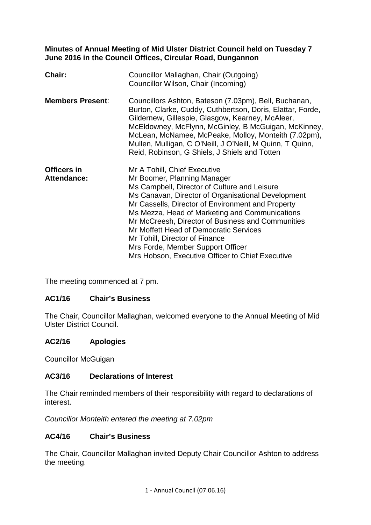### **Minutes of Annual Meeting of Mid Ulster District Council held on Tuesday 7 June 2016 in the Council Offices, Circular Road, Dungannon**

| Chair:                                   | Councillor Mallaghan, Chair (Outgoing)<br>Councillor Wilson, Chair (Incoming)                                                                                                                                                                                                                                                                                                                                                                                                                      |
|------------------------------------------|----------------------------------------------------------------------------------------------------------------------------------------------------------------------------------------------------------------------------------------------------------------------------------------------------------------------------------------------------------------------------------------------------------------------------------------------------------------------------------------------------|
| <b>Members Present:</b>                  | Councillors Ashton, Bateson (7.03pm), Bell, Buchanan,<br>Burton, Clarke, Cuddy, Cuthbertson, Doris, Elattar, Forde,<br>Gildernew, Gillespie, Glasgow, Kearney, McAleer,<br>McEldowney, McFlynn, McGinley, B McGuigan, McKinney,<br>McLean, McNamee, McPeake, Molloy, Monteith (7.02pm),<br>Mullen, Mulligan, C O'Neill, J O'Neill, M Quinn, T Quinn,<br>Reid, Robinson, G Shiels, J Shiels and Totten                                                                                              |
| <b>Officers in</b><br><b>Attendance:</b> | Mr A Tohill, Chief Executive<br>Mr Boomer, Planning Manager<br>Ms Campbell, Director of Culture and Leisure<br>Ms Canavan, Director of Organisational Development<br>Mr Cassells, Director of Environment and Property<br>Ms Mezza, Head of Marketing and Communications<br>Mr McCreesh, Director of Business and Communities<br>Mr Moffett Head of Democratic Services<br>Mr Tohill, Director of Finance<br>Mrs Forde, Member Support Officer<br>Mrs Hobson, Executive Officer to Chief Executive |

The meeting commenced at 7 pm.

# **AC1/16 Chair's Business**

The Chair, Councillor Mallaghan, welcomed everyone to the Annual Meeting of Mid Ulster District Council.

#### **AC2/16 Apologies**

Councillor McGuigan

# **AC3/16 Declarations of Interest**

The Chair reminded members of their responsibility with regard to declarations of interest.

*Councillor Monteith entered the meeting at 7.02pm*

#### **AC4/16 Chair's Business**

The Chair, Councillor Mallaghan invited Deputy Chair Councillor Ashton to address the meeting.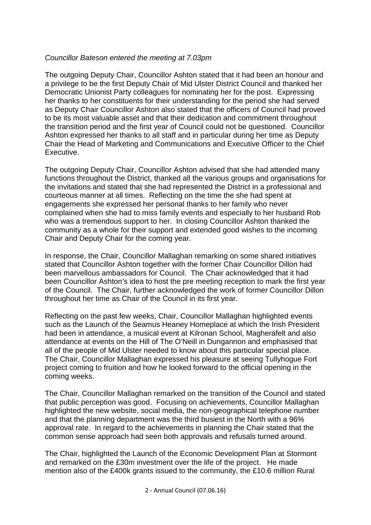### *Councillor Bateson entered the meeting at 7.03pm*

The outgoing Deputy Chair, Councillor Ashton stated that it had been an honour and a privilege to be the first Deputy Chair of Mid Ulster District Council and thanked her Democratic Unionist Party colleagues for nominating her for the post. Expressing her thanks to her constituents for their understanding for the period she had served as Deputy Chair Councillor Ashton also stated that the officers of Council had proved to be its most valuable asset and that their dedication and commitment throughout the transition period and the first year of Council could not be questioned. Councillor Ashton expressed her thanks to all staff and in particular during her time as Deputy Chair the Head of Marketing and Communications and Executive Officer to the Chief Executive.

The outgoing Deputy Chair, Councillor Ashton advised that she had attended many functions throughout the District, thanked all the various groups and organisations for the invitations and stated that she had represented the District in a professional and courteous manner at all times. Reflecting on the time the she had spent at engagements she expressed her personal thanks to her family who never complained when she had to miss family events and especially to her husband Rob who was a tremendous support to her. In closing Councillor Ashton thanked the community as a whole for their support and extended good wishes to the incoming Chair and Deputy Chair for the coming year.

In response, the Chair, Councillor Mallaghan remarking on some shared initiatives stated that Councillor Ashton together with the former Chair Councillor Dillon had been marvellous ambassadors for Council. The Chair acknowledged that it had been Councillor Ashton's idea to host the pre meeting reception to mark the first year of the Council. The Chair, further acknowledged the work of former Councillor Dillon throughout her time as Chair of the Council in its first year.

Reflecting on the past few weeks, Chair, Councillor Mallaghan highlighted events such as the Launch of the Seamus Heaney Homeplace at which the Irish President had been in attendance, a musical event at Kilronan School, Magherafelt and also attendance at events on the Hill of The O'Neill in Dungannon and emphasised that all of the people of Mid Ulster needed to know about this particular special place. The Chair, Councillor Mallaghan expressed his pleasure at seeing Tullyhogue Fort project coming to fruition and how he looked forward to the official opening in the coming weeks.

The Chair, Councillor Mallaghan remarked on the transition of the Council and stated that public perception was good. Focusing on achievements, Councillor Mallaghan highlighted the new website, social media, the non-geographical telephone number and that the planning department was the third busiest in the North with a 96% approval rate. In regard to the achievements in planning the Chair stated that the common sense approach had seen both approvals and refusals turned around.

The Chair, highlighted the Launch of the Economic Development Plan at Stormont and remarked on the £30m investment over the life of the project. He made mention also of the £400k grants issued to the community, the £10.6 million Rural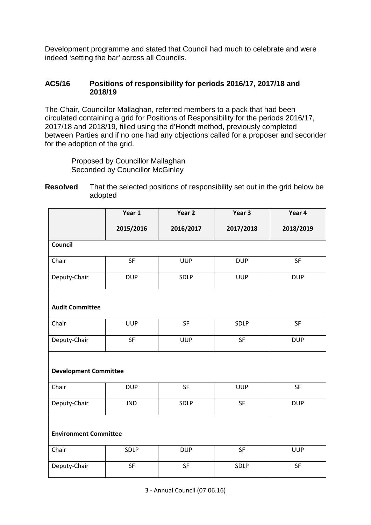Development programme and stated that Council had much to celebrate and were indeed 'setting the bar' across all Councils.

### **AC5/16 Positions of responsibility for periods 2016/17, 2017/18 and 2018/19**

The Chair, Councillor Mallaghan, referred members to a pack that had been circulated containing a grid for Positions of Responsibility for the periods 2016/17, 2017/18 and 2018/19, filled using the d'Hondt method, previously completed between Parties and if no one had any objections called for a proposer and seconder for the adoption of the grid.

Proposed by Councillor Mallaghan Seconded by Councillor McGinley

**Resolved** That the selected positions of responsibility set out in the grid below be adopted

|                              | Year 1     | Year 2     | Year 3     | Year 4     |
|------------------------------|------------|------------|------------|------------|
|                              | 2015/2016  | 2016/2017  | 2017/2018  | 2018/2019  |
| Council                      |            |            |            |            |
| Chair                        | SF         | <b>UUP</b> | <b>DUP</b> | SF         |
| Deputy-Chair                 | <b>DUP</b> | SDLP       | <b>UUP</b> | <b>DUP</b> |
|                              |            |            |            |            |
| <b>Audit Committee</b>       |            |            |            |            |
| Chair                        | <b>UUP</b> | SF         | SDLP       | SF         |
| Deputy-Chair                 | SF         | <b>UUP</b> | SF         | <b>DUP</b> |
|                              |            |            |            |            |
| <b>Development Committee</b> |            |            |            |            |
| Chair                        | <b>DUP</b> | SF         | <b>UUP</b> | SF         |
| Deputy-Chair                 | <b>IND</b> | SDLP       | SF         | <b>DUP</b> |
|                              |            |            |            |            |
| <b>Environment Committee</b> |            |            |            |            |
| Chair                        | SDLP       | <b>DUP</b> | SF         | <b>UUP</b> |
| Deputy-Chair                 | SF         | SF         | SDLP       | SF         |

3 - Annual Council (07.06.16)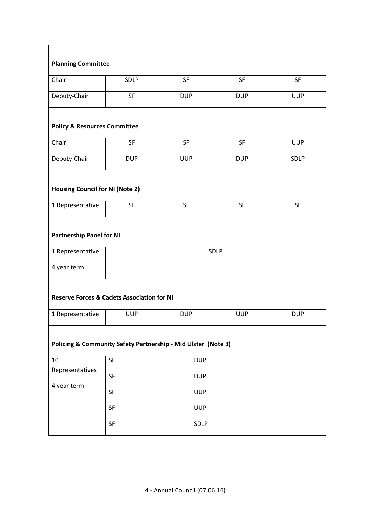| <b>Planning Committee</b>                                     |            |            |            |            |
|---------------------------------------------------------------|------------|------------|------------|------------|
| Chair                                                         | SDLP       | SF         | SF         | SF         |
| Deputy-Chair                                                  | <b>SF</b>  | <b>DUP</b> | <b>DUP</b> | <b>UUP</b> |
| <b>Policy &amp; Resources Committee</b>                       |            |            |            |            |
| Chair                                                         | SF         | SF         | SF         | <b>UUP</b> |
| Deputy-Chair                                                  | <b>DUP</b> | <b>UUP</b> | <b>DUP</b> | SDLP       |
| <b>Housing Council for NI (Note 2)</b>                        |            |            |            |            |
| 1 Representative                                              | SF         | SF         | SF         | SF         |
| <b>Partnership Panel for NI</b>                               |            |            |            |            |
| 1 Representative                                              |            |            | SDLP       |            |
| 4 year term                                                   |            |            |            |            |
| <b>Reserve Forces &amp; Cadets Association for NI</b>         |            |            |            |            |
| 1 Representative                                              | <b>UUP</b> | <b>DUP</b> | <b>UUP</b> | <b>DUP</b> |
| Policing & Community Safety Partnership - Mid Ulster (Note 3) |            |            |            |            |
| $10\,$                                                        | SF         | <b>DUP</b> |            |            |
| Representatives                                               | SF         | <b>DUP</b> |            |            |
| 4 year term                                                   | SF         | <b>UUP</b> |            |            |
|                                                               | SF         | <b>UUP</b> |            |            |
|                                                               | SF         | SDLP       |            |            |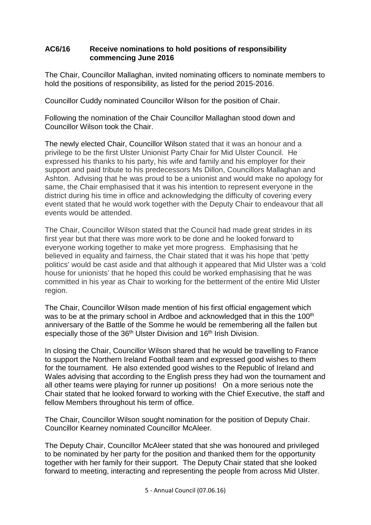### **AC6/16 Receive nominations to hold positions of responsibility commencing June 2016**

The Chair, Councillor Mallaghan, invited nominating officers to nominate members to hold the positions of responsibility, as listed for the period 2015-2016.

Councillor Cuddy nominated Councillor Wilson for the position of Chair.

Following the nomination of the Chair Councillor Mallaghan stood down and Councillor Wilson took the Chair.

The newly elected Chair, Councillor Wilson stated that it was an honour and a privilege to be the first Ulster Unionist Party Chair for Mid Ulster Council. He expressed his thanks to his party, his wife and family and his employer for their support and paid tribute to his predecessors Ms Dillon, Councillors Mallaghan and Ashton. Advising that he was proud to be a unionist and would make no apology for same, the Chair emphasised that it was his intention to represent everyone in the district during his time in office and acknowledging the difficulty of covering every event stated that he would work together with the Deputy Chair to endeavour that all events would be attended.

The Chair, Councillor Wilson stated that the Council had made great strides in its first year but that there was more work to be done and he looked forward to everyone working together to make yet more progress. Emphasising that he believed in equality and fairness, the Chair stated that it was his hope that 'petty politics' would be cast aside and that although it appeared that Mid Ulster was a 'cold house for unionists' that he hoped this could be worked emphasising that he was committed in his year as Chair to working for the betterment of the entire Mid Ulster region.

The Chair, Councillor Wilson made mention of his first official engagement which was to be at the primary school in Ardboe and acknowledged that in this the 100<sup>th</sup> anniversary of the Battle of the Somme he would be remembering all the fallen but especially those of the 36<sup>th</sup> Ulster Division and 16<sup>th</sup> Irish Division.

In closing the Chair, Councillor Wilson shared that he would be travelling to France to support the Northern Ireland Football team and expressed good wishes to them for the tournament. He also extended good wishes to the Republic of Ireland and Wales advising that according to the English press they had won the tournament and all other teams were playing for runner up positions! On a more serious note the Chair stated that he looked forward to working with the Chief Executive, the staff and fellow Members throughout his term of office.

The Chair, Councillor Wilson sought nomination for the position of Deputy Chair. Councillor Kearney nominated Councillor McAleer.

The Deputy Chair, Councillor McAleer stated that she was honoured and privileged to be nominated by her party for the position and thanked them for the opportunity together with her family for their support. The Deputy Chair stated that she looked forward to meeting, interacting and representing the people from across Mid Ulster.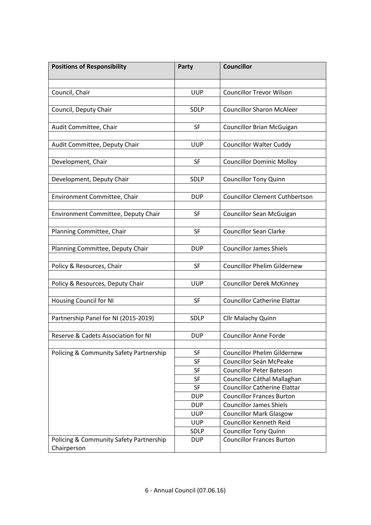| <b>Positions of Responsibility</b>      | Party           | <b>Councillor</b>                                             |
|-----------------------------------------|-----------------|---------------------------------------------------------------|
|                                         |                 |                                                               |
| Council, Chair                          | <b>UUP</b>      | <b>Councillor Trevor Wilson</b>                               |
|                                         |                 |                                                               |
| Council, Deputy Chair                   | <b>SDLP</b>     | <b>Councillor Sharon McAleer</b>                              |
|                                         |                 |                                                               |
| Audit Committee, Chair                  | <b>SF</b>       | <b>Councillor Brian McGuigan</b>                              |
|                                         |                 |                                                               |
| Audit Committee, Deputy Chair           | <b>UUP</b>      | <b>Councillor Walter Cuddy</b>                                |
|                                         |                 |                                                               |
| Development, Chair                      | <b>SF</b>       | <b>Councillor Dominic Molloy</b>                              |
|                                         | <b>SDLP</b>     |                                                               |
| Development, Deputy Chair               |                 | <b>Councillor Tony Quinn</b>                                  |
| Environment Committee, Chair            | <b>DUP</b>      | <b>Councillor Clement Cuthbertson</b>                         |
|                                         |                 |                                                               |
| Environment Committee, Deputy Chair     | <b>SF</b>       | <b>Councillor Sean McGuigan</b>                               |
|                                         |                 |                                                               |
| Planning Committee, Chair               | SF              | <b>Councillor Sean Clarke</b>                                 |
|                                         |                 |                                                               |
| Planning Committee, Deputy Chair        | <b>DUP</b>      | <b>Councillor James Shiels</b>                                |
|                                         |                 |                                                               |
| Policy & Resources, Chair               | <b>SF</b>       | <b>Councillor Phelim Gildernew</b>                            |
|                                         |                 |                                                               |
| Policy & Resources, Deputy Chair        | <b>UUP</b>      | <b>Councillor Derek McKinney</b>                              |
|                                         |                 |                                                               |
| Housing Council for NI                  | SF              | <b>Councillor Catherine Elattar</b>                           |
|                                         |                 |                                                               |
| Partnership Panel for NI (2015-2019)    | SDLP            | Cllr Malachy Quinn                                            |
|                                         |                 |                                                               |
| Reserve & Cadets Association for NI     | <b>DUP</b>      | <b>Councillor Anne Forde</b>                                  |
|                                         |                 |                                                               |
| Policing & Community Safety Partnership | <b>SF</b>       | <b>Councillor Phelim Gildernew</b><br>Councillor Seán McPeake |
|                                         | <b>SF</b><br>SF | <b>Councillor Peter Bateson</b>                               |
|                                         | <b>SF</b>       | Councillor Cáthal Mallaghan                                   |
|                                         | SF              | <b>Councillor Catherine Elattar</b>                           |
|                                         | <b>DUP</b>      | <b>Councillor Frances Burton</b>                              |
|                                         | <b>DUP</b>      | <b>Councillor James Shiels</b>                                |
|                                         | <b>UUP</b>      | <b>Councillor Mark Glasgow</b>                                |
|                                         | <b>UUP</b>      | Councillor Kenneth Reid                                       |
|                                         | <b>SDLP</b>     | <b>Councillor Tony Quinn</b>                                  |
| Policing & Community Safety Partnership | <b>DUP</b>      | <b>Councillor Frances Burton</b>                              |
| Chairperson                             |                 |                                                               |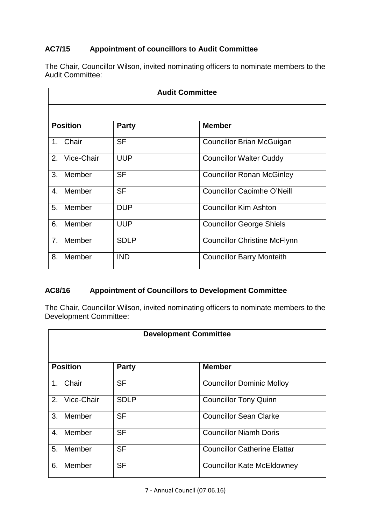# **AC7/15 Appointment of councillors to Audit Committee**

The Chair, Councillor Wilson, invited nominating officers to nominate members to the Audit Committee:

|                | <b>Audit Committee</b> |              |                                     |  |
|----------------|------------------------|--------------|-------------------------------------|--|
|                |                        |              |                                     |  |
|                | <b>Position</b>        | <b>Party</b> | <b>Member</b>                       |  |
|                | 1. Chair               | <b>SF</b>    | <b>Councillor Brian McGuigan</b>    |  |
|                | 2. Vice-Chair          | <b>UUP</b>   | <b>Councillor Walter Cuddy</b>      |  |
| 3.             | Member                 | <b>SF</b>    | <b>Councillor Ronan McGinley</b>    |  |
| 4.             | Member                 | <b>SF</b>    | <b>Councillor Caoimhe O'Neill</b>   |  |
| 5 <sub>1</sub> | Member                 | <b>DUP</b>   | <b>Councillor Kim Ashton</b>        |  |
| 6.             | Member                 | <b>UUP</b>   | <b>Councillor George Shiels</b>     |  |
| 7.             | Member                 | <b>SDLP</b>  | <b>Councillor Christine McFlynn</b> |  |
| 8.             | Member                 | <b>IND</b>   | <b>Councillor Barry Monteith</b>    |  |

# **AC8/16 Appointment of Councillors to Development Committee**

The Chair, Councillor Wilson, invited nominating officers to nominate members to the Development Committee:

|                | <b>Development Committee</b> |              |                                     |  |
|----------------|------------------------------|--------------|-------------------------------------|--|
|                |                              |              |                                     |  |
|                | <b>Position</b>              | <b>Party</b> | <b>Member</b>                       |  |
|                | 1. Chair                     | <b>SF</b>    | <b>Councillor Dominic Molloy</b>    |  |
| 2 <sub>1</sub> | Vice-Chair                   | <b>SDLP</b>  | <b>Councillor Tony Quinn</b>        |  |
| 3.             | Member                       | <b>SF</b>    | <b>Councillor Sean Clarke</b>       |  |
| 4.             | Member                       | <b>SF</b>    | <b>Councillor Niamh Doris</b>       |  |
| 5.             | Member                       | <b>SF</b>    | <b>Councillor Catherine Elattar</b> |  |
| 6.             | Member                       | <b>SF</b>    | <b>Councillor Kate McEldowney</b>   |  |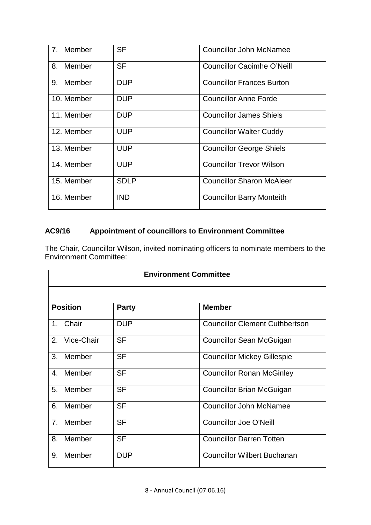| 7. Member    | SF          | <b>Councillor John McNamee</b>    |
|--------------|-------------|-----------------------------------|
| 8.<br>Member | <b>SF</b>   | <b>Councillor Caoimhe O'Neill</b> |
| Member<br>9. | <b>DUP</b>  | <b>Councillor Frances Burton</b>  |
| 10. Member   | <b>DUP</b>  | <b>Councillor Anne Forde</b>      |
| 11. Member   | <b>DUP</b>  | <b>Councillor James Shiels</b>    |
| 12. Member   | <b>UUP</b>  | <b>Councillor Walter Cuddy</b>    |
| 13. Member   | <b>UUP</b>  | <b>Councillor George Shiels</b>   |
| 14. Member   | <b>UUP</b>  | <b>Councillor Trevor Wilson</b>   |
| 15. Member   | <b>SDLP</b> | <b>Councillor Sharon McAleer</b>  |
| 16. Member   | <b>IND</b>  | <b>Councillor Barry Monteith</b>  |

# **AC9/16 Appointment of councillors to Environment Committee**

The Chair, Councillor Wilson, invited nominating officers to nominate members to the Environment Committee:

|                | <b>Environment Committee</b> |              |                                       |  |
|----------------|------------------------------|--------------|---------------------------------------|--|
|                |                              |              |                                       |  |
|                | <b>Position</b>              | <b>Party</b> | <b>Member</b>                         |  |
|                | 1. Chair                     | <b>DUP</b>   | <b>Councillor Clement Cuthbertson</b> |  |
|                | 2. Vice-Chair                | <b>SF</b>    | Councillor Sean McGuigan              |  |
| 3.             | Member                       | <b>SF</b>    | <b>Councillor Mickey Gillespie</b>    |  |
| $\overline{4}$ | Member                       | <b>SF</b>    | <b>Councillor Ronan McGinley</b>      |  |
| 5.             | Member                       | <b>SF</b>    | <b>Councillor Brian McGuigan</b>      |  |
| 6.             | Member                       | <b>SF</b>    | <b>Councillor John McNamee</b>        |  |
| 7 <sub>1</sub> | Member                       | <b>SF</b>    | Councillor Joe O'Neill                |  |
| 8.             | Member                       | <b>SF</b>    | <b>Councillor Darren Totten</b>       |  |
| 9.             | Member                       | <b>DUP</b>   | <b>Councillor Wilbert Buchanan</b>    |  |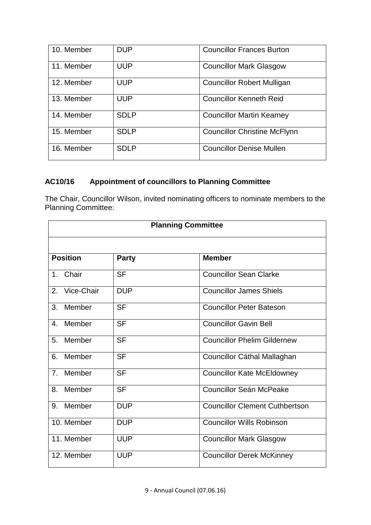| 10. Member | <b>DUP</b>  | <b>Councillor Frances Burton</b>    |
|------------|-------------|-------------------------------------|
| 11. Member | <b>UUP</b>  | <b>Councillor Mark Glasgow</b>      |
| 12. Member | <b>UUP</b>  | <b>Councillor Robert Mulligan</b>   |
| 13. Member | <b>UUP</b>  | <b>Councillor Kenneth Reid</b>      |
| 14. Member | <b>SDLP</b> | <b>Councillor Martin Kearney</b>    |
| 15. Member | <b>SDLP</b> | <b>Councillor Christine McFlynn</b> |
| 16. Member | <b>SDLP</b> | <b>Councillor Denise Mullen</b>     |

# **AC10/16 Appointment of councillors to Planning Committee**

The Chair, Councillor Wilson, invited nominating officers to nominate members to the Planning Committee:

| <b>Planning Committee</b> |              |                                       |
|---------------------------|--------------|---------------------------------------|
|                           |              |                                       |
| <b>Position</b>           | <b>Party</b> | <b>Member</b>                         |
| Chair<br>$1_{-}$          | <b>SF</b>    | <b>Councillor Sean Clarke</b>         |
| Vice-Chair<br>2.          | <b>DUP</b>   | <b>Councillor James Shiels</b>        |
| Member<br>3.              | <b>SF</b>    | <b>Councillor Peter Bateson</b>       |
| Member<br>$\mathbf{4}$ .  | <b>SF</b>    | <b>Councillor Gavin Bell</b>          |
| Member<br>5.              | <b>SF</b>    | <b>Councillor Phelim Gildernew</b>    |
| Member<br>6.              | <b>SF</b>    | Councillor Cáthal Mallaghan           |
| Member<br>7 <sub>1</sub>  | <b>SF</b>    | <b>Councillor Kate McEldowney</b>     |
| Member<br>8.              | <b>SF</b>    | Councillor Seán McPeake               |
| Member<br>9.              | <b>DUP</b>   | <b>Councillor Clement Cuthbertson</b> |
| 10. Member                | <b>DUP</b>   | <b>Councillor Wills Robinson</b>      |
| 11. Member                | <b>UUP</b>   | <b>Councillor Mark Glasgow</b>        |
| 12. Member                | <b>UUP</b>   | <b>Councillor Derek McKinney</b>      |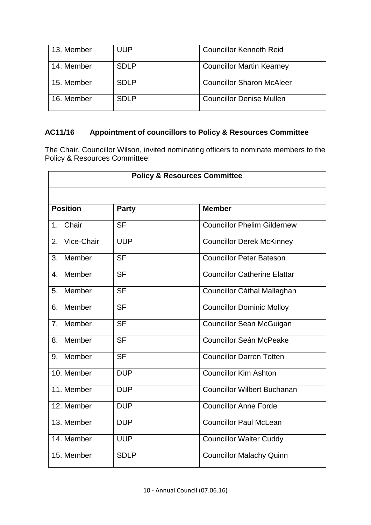| 13. Member | UUP         | <b>Councillor Kenneth Reid</b>   |
|------------|-------------|----------------------------------|
| 14. Member | <b>SDLP</b> | <b>Councillor Martin Kearney</b> |
| 15. Member | <b>SDLP</b> | <b>Councillor Sharon McAleer</b> |
| 16. Member | <b>SDLP</b> | <b>Councillor Denise Mullen</b>  |

## **AC11/16 Appointment of councillors to Policy & Resources Committee**

The Chair, Councillor Wilson, invited nominating officers to nominate members to the Policy & Resources Committee:

| <b>Policy &amp; Resources Committee</b> |              |                                     |  |  |
|-----------------------------------------|--------------|-------------------------------------|--|--|
|                                         |              |                                     |  |  |
| <b>Position</b>                         | <b>Party</b> | <b>Member</b>                       |  |  |
| Chair<br>1 <sub>1</sub>                 | <b>SF</b>    | <b>Councillor Phelim Gildernew</b>  |  |  |
| Vice-Chair<br>2.                        | <b>UUP</b>   | <b>Councillor Derek McKinney</b>    |  |  |
| Member<br>3.                            | <b>SF</b>    | <b>Councillor Peter Bateson</b>     |  |  |
| Member<br>$\mathbf{4}$ .                | <b>SF</b>    | <b>Councillor Catherine Elattar</b> |  |  |
| Member<br>5.                            | <b>SF</b>    | Councillor Cáthal Mallaghan         |  |  |
| Member<br>6.                            | <b>SF</b>    | <b>Councillor Dominic Molloy</b>    |  |  |
| Member<br>7 <sub>1</sub>                | <b>SF</b>    | <b>Councillor Sean McGuigan</b>     |  |  |
| Member<br>8.                            | <b>SF</b>    | Councillor Seán McPeake             |  |  |
| Member<br>9.                            | <b>SF</b>    | <b>Councillor Darren Totten</b>     |  |  |
| 10. Member                              | <b>DUP</b>   | <b>Councillor Kim Ashton</b>        |  |  |
| 11. Member                              | <b>DUP</b>   | <b>Councillor Wilbert Buchanan</b>  |  |  |
| 12. Member                              | <b>DUP</b>   | <b>Councillor Anne Forde</b>        |  |  |
| 13. Member                              | <b>DUP</b>   | <b>Councillor Paul McLean</b>       |  |  |
| 14. Member                              | <b>UUP</b>   | <b>Councillor Walter Cuddy</b>      |  |  |
| 15. Member                              | <b>SDLP</b>  | <b>Councillor Malachy Quinn</b>     |  |  |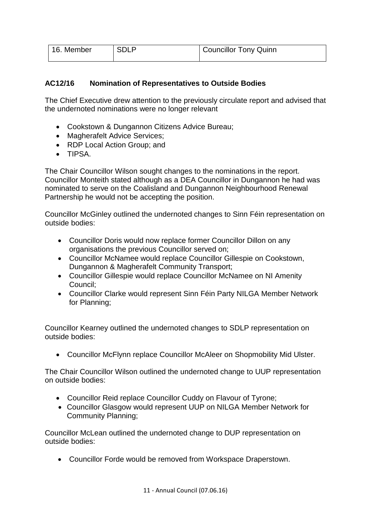| 16. Member | SDLP | Councillor Tony Quinn |
|------------|------|-----------------------|
|            |      |                       |

## **AC12/16 Nomination of Representatives to Outside Bodies**

The Chief Executive drew attention to the previously circulate report and advised that the undernoted nominations were no longer relevant

- Cookstown & Dungannon Citizens Advice Bureau;
- Magherafelt Advice Services;
- RDP Local Action Group: and
- TIPSA.

The Chair Councillor Wilson sought changes to the nominations in the report. Councillor Monteith stated although as a DEA Councillor in Dungannon he had was nominated to serve on the Coalisland and Dungannon Neighbourhood Renewal Partnership he would not be accepting the position.

Councillor McGinley outlined the undernoted changes to Sinn Féin representation on outside bodies:

- Councillor Doris would now replace former Councillor Dillon on any organisations the previous Councillor served on;
- Councillor McNamee would replace Councillor Gillespie on Cookstown, Dungannon & Magherafelt Community Transport;
- Councillor Gillespie would replace Councillor McNamee on NI Amenity Council;
- Councillor Clarke would represent Sinn Féin Party NILGA Member Network for Planning;

Councillor Kearney outlined the undernoted changes to SDLP representation on outside bodies:

• Councillor McFlynn replace Councillor McAleer on Shopmobility Mid Ulster.

The Chair Councillor Wilson outlined the undernoted change to UUP representation on outside bodies:

- Councillor Reid replace Councillor Cuddy on Flavour of Tyrone;
- Councillor Glasgow would represent UUP on NILGA Member Network for Community Planning;

Councillor McLean outlined the undernoted change to DUP representation on outside bodies:

• Councillor Forde would be removed from Workspace Draperstown.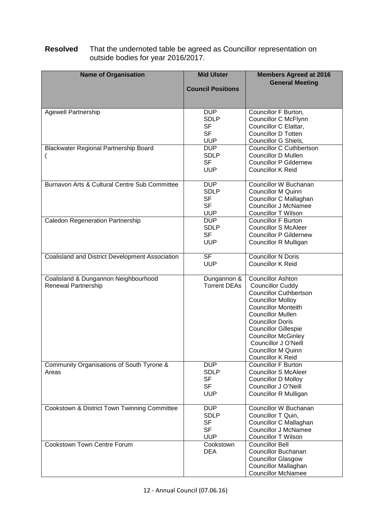| <b>Resolved</b> | That the undernoted table be agreed as Councillor representation on |
|-----------------|---------------------------------------------------------------------|
|                 | outside bodies for year 2016/2017.                                  |

| <b>Name of Organisation</b>                                        | <b>Mid Ulster</b><br><b>Council Positions</b>                     | <b>Members Agreed at 2016</b><br><b>General Meeting</b>                                                                                                                                                                                                                                                                                      |
|--------------------------------------------------------------------|-------------------------------------------------------------------|----------------------------------------------------------------------------------------------------------------------------------------------------------------------------------------------------------------------------------------------------------------------------------------------------------------------------------------------|
| <b>Agewell Partnership</b>                                         | <b>DUP</b><br><b>SDLP</b><br><b>SF</b><br><b>SF</b><br><b>UUP</b> | Councillor F Burton,<br><b>Councillor C McFlynn</b><br>Councillor C Elattar,<br><b>Councillor D Totten</b><br>Councillor G Shiels,                                                                                                                                                                                                           |
| Blackwater Regional Partnership Board                              | <b>DUP</b><br><b>SDLP</b><br><b>SF</b><br><b>UUP</b>              | <b>Councillor C Cuthbertson</b><br><b>Councillor D Mullen</b><br><b>Councillor P Gildernew</b><br><b>Councillor K Reid</b>                                                                                                                                                                                                                   |
| Burnavon Arts & Cultural Centre Sub Committee                      | <b>DUP</b><br><b>SDLP</b><br><b>SF</b><br><b>SF</b><br><b>UUP</b> | Councillor W Buchanan<br><b>Councillor M Quinn</b><br>Councillor C Mallaghan<br><b>Councillor J McNamee</b><br><b>Councillor T Wilson</b>                                                                                                                                                                                                    |
| <b>Caledon Regeneration Partnership</b>                            | <b>DUP</b><br><b>SDLP</b><br><b>SF</b><br><b>UUP</b>              | <b>Councillor F Burton</b><br><b>Councillor S McAleer</b><br><b>Councillor P Gildernew</b><br><b>Councillor R Mulligan</b>                                                                                                                                                                                                                   |
| Coalisland and District Development Association                    | <b>SF</b><br><b>UUP</b>                                           | <b>Councillor N Doris</b><br><b>Councillor K Reid</b>                                                                                                                                                                                                                                                                                        |
| Coalisland & Dungannon Neighbourhood<br><b>Renewal Partnership</b> | Dungannon &<br><b>Torrent DEAs</b>                                | Councillor Ashton<br><b>Councillor Cuddy</b><br><b>Councillor Cuthbertson</b><br><b>Councillor Molloy</b><br><b>Councillor Monteith</b><br><b>Councillor Mullen</b><br><b>Councillor Doris</b><br><b>Councillor Gillespie</b><br><b>Councillor McGinley</b><br>Councillor J O'Neill<br><b>Councillor M Quinn</b><br><b>Councillor K Reid</b> |
| Community Organisations of South Tyrone &<br>Areas                 | <b>DUP</b><br><b>SDLP</b><br><b>SF</b><br><b>SF</b><br><b>UUP</b> | <b>Councillor F Burton</b><br><b>Councillor S McAleer</b><br><b>Councillor D Molloy</b><br>Councillor J O'Neill<br><b>Councillor R Mulligan</b>                                                                                                                                                                                              |
| Cookstown & District Town Twinning Committee                       | <b>DUP</b><br><b>SDLP</b><br><b>SF</b><br><b>SF</b><br><b>UUP</b> | Councillor W Buchanan<br>Councillor T Quin,<br>Councillor C Mallaghan<br><b>Councillor J McNamee</b><br><b>Councillor T Wilson</b>                                                                                                                                                                                                           |
| <b>Cookstown Town Centre Forum</b>                                 | Cookstown<br><b>DEA</b>                                           | <b>Councillor Bell</b><br><b>Councillor Buchanan</b><br><b>Councillor Glasgow</b><br><b>Councillor Mallaghan</b><br><b>Councillor McNamee</b>                                                                                                                                                                                                |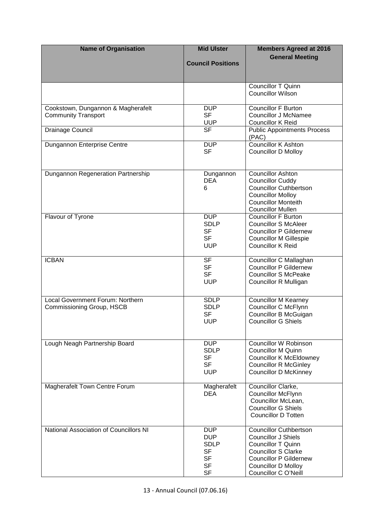| <b>Name of Organisation</b>                                      | <b>Mid Ulster</b>          | <b>Members Agreed at 2016</b><br><b>General Meeting</b>        |
|------------------------------------------------------------------|----------------------------|----------------------------------------------------------------|
|                                                                  | <b>Council Positions</b>   |                                                                |
|                                                                  |                            |                                                                |
|                                                                  |                            | <b>Councillor T Quinn</b>                                      |
|                                                                  |                            | <b>Councillor Wilson</b>                                       |
| Cookstown, Dungannon & Magherafelt<br><b>Community Transport</b> | <b>DUP</b><br><b>SF</b>    | <b>Councillor F Burton</b><br><b>Councillor J McNamee</b>      |
|                                                                  | <b>UUP</b>                 | <b>Councillor K Reid</b>                                       |
| Drainage Council                                                 | $\overline{\mathsf{SF}}$   | <b>Public Appointments Process</b><br>(PAC)                    |
| Dungannon Enterprise Centre                                      | <b>DUP</b>                 | <b>Councillor K Ashton</b>                                     |
|                                                                  | <b>SF</b>                  | <b>Councillor D Molloy</b>                                     |
| Dungannon Regeneration Partnership                               | Dungannon                  | <b>Councillor Ashton</b>                                       |
|                                                                  | <b>DEA</b><br>6            | <b>Councillor Cuddy</b><br><b>Councillor Cuthbertson</b>       |
|                                                                  |                            | <b>Councillor Molloy</b>                                       |
|                                                                  |                            | <b>Councillor Monteith</b><br><b>Councillor Mullen</b>         |
| Flavour of Tyrone                                                | <b>DUP</b><br><b>SDLP</b>  | <b>Councillor F Burton</b><br><b>Councillor S McAleer</b>      |
|                                                                  | <b>SF</b>                  | <b>Councillor P Gildernew</b>                                  |
|                                                                  | <b>SF</b><br><b>UUP</b>    | <b>Councillor M Gillespie</b><br><b>Councillor K Reid</b>      |
|                                                                  |                            |                                                                |
| <b>ICBAN</b>                                                     | <b>SF</b><br><b>SF</b>     | Councillor C Mallaghan<br><b>Councillor P Gildernew</b>        |
|                                                                  | <b>SF</b>                  | <b>Councillor S McPeake</b>                                    |
|                                                                  | <b>UUP</b>                 | <b>Councillor R Mulligan</b>                                   |
| Local Government Forum: Northern<br>Commissioning Group, HSCB    | <b>SDLP</b><br><b>SDLP</b> | <b>Councillor M Kearney</b><br><b>Councillor C McFlynn</b>     |
|                                                                  | <b>SF</b>                  | Councillor B McGuigan                                          |
|                                                                  | <b>UUP</b>                 | Councillor G Shiels                                            |
|                                                                  |                            |                                                                |
| Lough Neagh Partnership Board                                    | <b>DUP</b><br><b>SDLP</b>  | <b>Councillor W Robinson</b><br><b>Councillor M Quinn</b>      |
|                                                                  | <b>SF</b><br><b>SF</b>     | <b>Councillor K McEldowney</b><br><b>Councillor R McGinley</b> |
|                                                                  | <b>UUP</b>                 | <b>Councillor D McKinney</b>                                   |
| Magherafelt Town Centre Forum                                    | Magherafelt                | Councillor Clarke,                                             |
|                                                                  | <b>DEA</b>                 | <b>Councillor McFlynn</b><br>Councillor McLean,                |
|                                                                  |                            | <b>Councillor G Shiels</b>                                     |
|                                                                  |                            | <b>Councillor D Totten</b>                                     |
| National Association of Councillors NI                           | <b>DUP</b><br><b>DUP</b>   | <b>Councillor Cuthbertson</b><br><b>Councillor J Shiels</b>    |
|                                                                  | <b>SDLP</b>                | <b>Councillor T Quinn</b>                                      |
|                                                                  | <b>SF</b><br><b>SF</b>     | <b>Councillor S Clarke</b><br><b>Councillor P Gildernew</b>    |
|                                                                  | <b>SF</b>                  | <b>Councillor D Molloy</b>                                     |
|                                                                  | <b>SF</b>                  | Councillor C O'Neill                                           |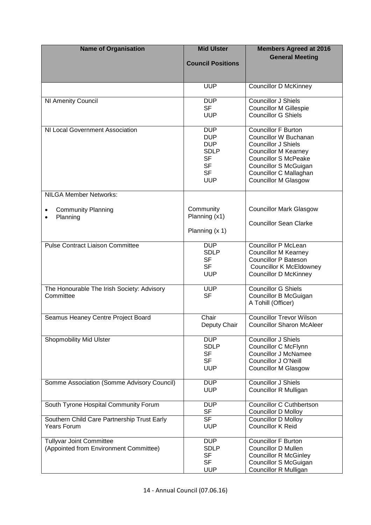| <b>Name of Organisation</b>                                               | <b>Mid Ulster</b><br><b>Council Positions</b>                                                              | <b>Members Agreed at 2016</b><br><b>General Meeting</b>                                                                                                                                                                    |
|---------------------------------------------------------------------------|------------------------------------------------------------------------------------------------------------|----------------------------------------------------------------------------------------------------------------------------------------------------------------------------------------------------------------------------|
|                                                                           | <b>UUP</b>                                                                                                 | <b>Councillor D McKinney</b>                                                                                                                                                                                               |
| NI Amenity Council                                                        | <b>DUP</b><br><b>SF</b><br><b>UUP</b>                                                                      | <b>Councillor J Shiels</b><br><b>Councillor M Gillespie</b><br><b>Councillor G Shiels</b>                                                                                                                                  |
| NI Local Government Association                                           | <b>DUP</b><br><b>DUP</b><br><b>DUP</b><br><b>SDLP</b><br><b>SF</b><br><b>SF</b><br><b>SF</b><br><b>UUP</b> | Councillor F Burton<br>Councillor W Buchanan<br><b>Councillor J Shiels</b><br><b>Councillor M Kearney</b><br><b>Councillor S McPeake</b><br>Councillor S McGuigan<br>Councillor C Mallaghan<br><b>Councillor M Glasgow</b> |
| <b>NILGA Member Networks:</b>                                             |                                                                                                            |                                                                                                                                                                                                                            |
| <b>Community Planning</b><br>$\bullet$<br>Planning<br>$\bullet$           | Community<br>Planning (x1)<br>Planning $(x 1)$                                                             | <b>Councillor Mark Glasgow</b><br><b>Councillor Sean Clarke</b>                                                                                                                                                            |
| <b>Pulse Contract Liaison Committee</b>                                   | <b>DUP</b><br><b>SDLP</b><br><b>SF</b><br><b>SF</b><br><b>UUP</b>                                          | <b>Councillor P McLean</b><br><b>Councillor M Kearney</b><br><b>Councillor P Bateson</b><br><b>Councillor K McEldowney</b><br><b>Councillor D McKinney</b>                                                                 |
| The Honourable The Irish Society: Advisory<br>Committee                   | <b>UUP</b><br><b>SF</b>                                                                                    | <b>Councillor G Shiels</b><br>Councillor B McGuigan<br>A Tohill (Officer)                                                                                                                                                  |
| Seamus Heaney Centre Project Board                                        | Chair<br>Deputy Chair                                                                                      | <b>Councillor Trevor Wilson</b><br><b>Councillor Sharon McAleer</b>                                                                                                                                                        |
| Shopmobility Mid Ulster                                                   | <b>DUP</b><br><b>SDLP</b><br><b>SF</b><br><b>SF</b><br><b>UUP</b>                                          | <b>Councillor J Shiels</b><br><b>Councillor C McFlynn</b><br><b>Councillor J McNamee</b><br>Councillor J O'Neill<br><b>Councillor M Glasgow</b>                                                                            |
| Somme Association (Somme Advisory Council)                                | <b>DUP</b><br><b>UUP</b>                                                                                   | <b>Councillor J Shiels</b><br>Councillor R Mulligan                                                                                                                                                                        |
| South Tyrone Hospital Community Forum                                     | <b>DUP</b><br><b>SF</b>                                                                                    | <b>Councillor C Cuthbertson</b><br><b>Councillor D Molloy</b>                                                                                                                                                              |
| Southern Child Care Partnership Trust Early<br>Years Forum                | $\overline{\mathsf{SF}}$<br><b>UUP</b>                                                                     | <b>Councillor D Molloy</b><br><b>Councillor K Reid</b>                                                                                                                                                                     |
| <b>Tullyvar Joint Committee</b><br>(Appointed from Environment Committee) | <b>DUP</b><br><b>SDLP</b><br><b>SF</b><br><b>SF</b><br><b>UUP</b>                                          | Councillor F Burton<br><b>Councillor D Mullen</b><br><b>Councillor R McGinley</b><br>Councillor S McGuigan<br><b>Councillor R Mulligan</b>                                                                                 |